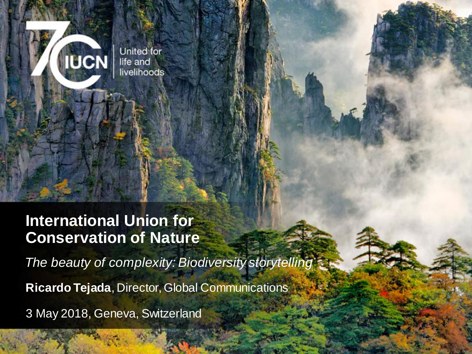United for life and livelihoods

**IUCN** 

#### **International Union for Conservation of Nature**

*The beauty of complexity: Biodiversity storytelling*

**Ricardo Tejada**, Director, Global Communications

3 May 2018, Geneva, Switzerland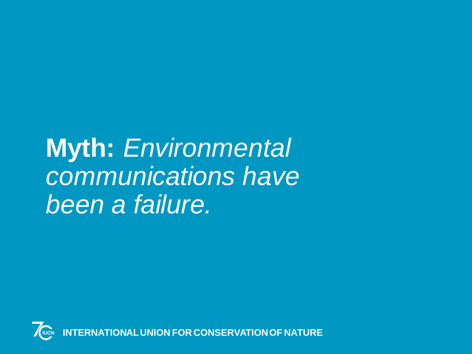**Myth:** *Environmental communications have been a failure.*

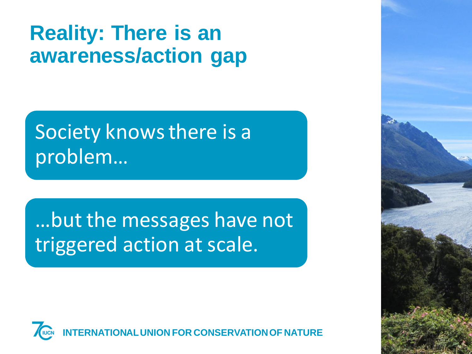## **Reality: There is an awareness/action gap**

## Society knows there is a problem…

…but the messages have not triggered action at scale.



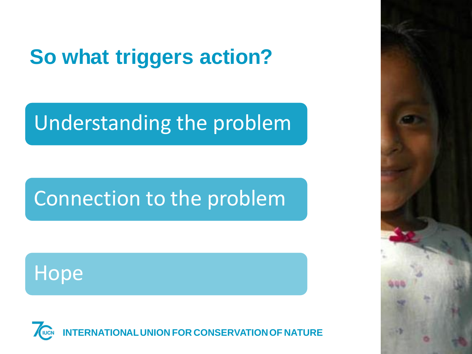## **So what triggers action?**

## Understanding the problem

## Connection to the problem

## **Hope**



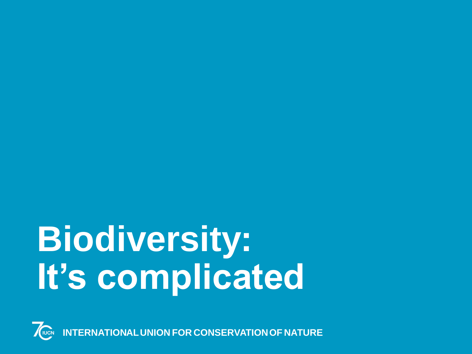# **Biodiversity: It's complicated**



**INTERNATIONAL UNION FOR CONSERVATION OF NATURE**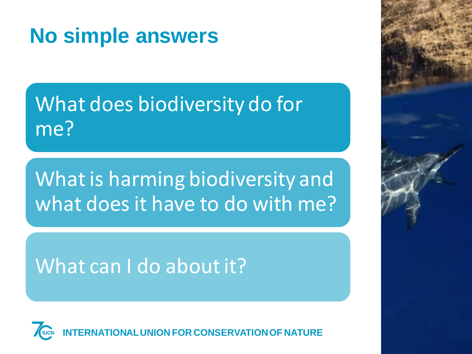## **No simple answers**

What does biodiversity do for me?

What is harming biodiversity and what does it have to do with me?

#### What can I do about it?



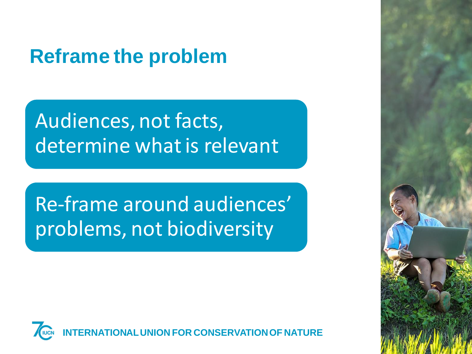### **Reframe the problem**

Audiences, not facts, determine what is relevant

Re-frame around audiences' problems, not biodiversity



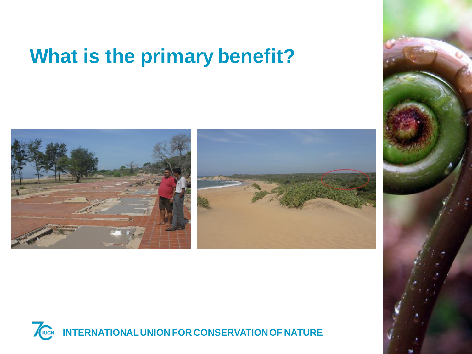## **What is the primary benefit?**





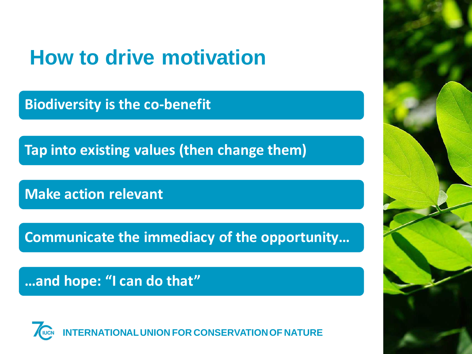## **How to drive motivation**

**Biodiversity is the co-benefit**

**Tap into existing values (then change them)**

**Make action relevant**

**Communicate the immediacy of the opportunity…**

**…and hope: "I can do that"**



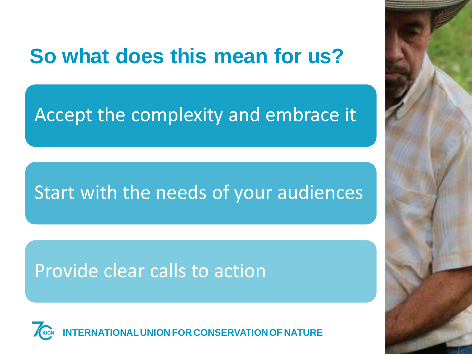## **So what does this mean for us?**

#### Accept the complexity and embrace it

#### Start with the needs of your audiences

#### Provide clear calls to action